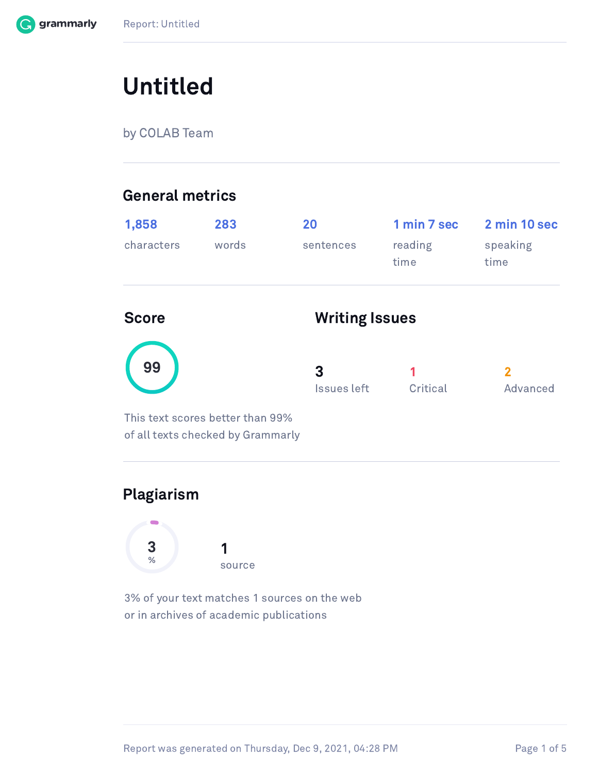

# Untitled

by COLAB Team

### General metrics

| 1,858<br>characters | 283<br>words                                                          | 20<br>sentences       | 1 min 7 sec<br>reading<br>time | 2 min 10 sec<br>speaking<br>time |
|---------------------|-----------------------------------------------------------------------|-----------------------|--------------------------------|----------------------------------|
| <b>Score</b>        |                                                                       | <b>Writing Issues</b> |                                |                                  |
| 99                  |                                                                       | 3<br>Issues left      | 1<br>Critical                  | $\overline{2}$<br>Advanced       |
|                     | This text scores better than 99%<br>of all texts checked by Grammarly |                       |                                |                                  |

### Plagiarism



3% of your text matches 1 sources on the web or in archives of academic publications

Report was generated on Thursday, Dec 9, 2021, 04:28 PM Page 1 of 5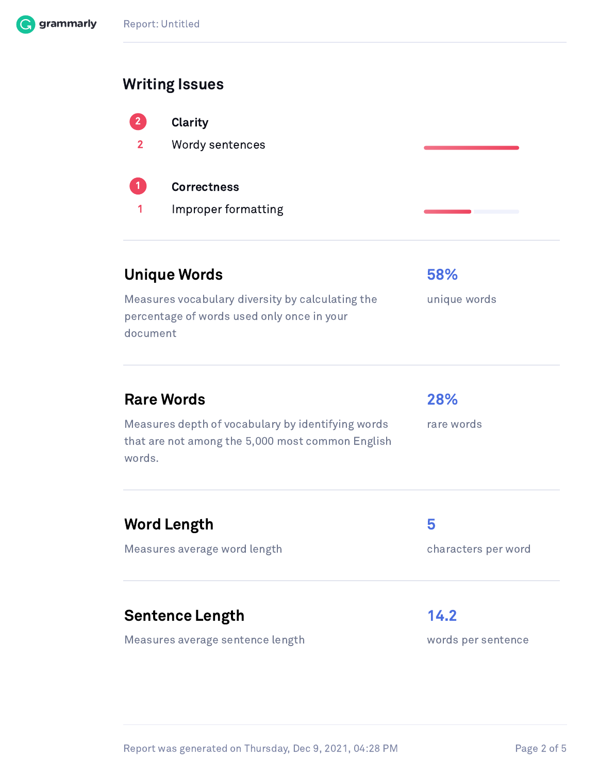### Report: Untitled

### Writing Issues

| $\left( 2\right)$<br>$\mathbf{2}$ | <b>Clarity</b><br><b>Wordy sentences</b>  |  |
|-----------------------------------|-------------------------------------------|--|
| (1)<br>1                          | <b>Correctness</b><br>Improper formatting |  |

### Unique Words **58%**

Measures vocabulary diversity by calculating the percentage of words used only once in your document

### Rare Words 28%

Measures depth of vocabulary by identifying words that are not among the 5,000 most common English words.

rare words

unique words

### Word Length 5

Measures average word length example and characters per word

### Sentence Length 14.2

Measures average sentence length words per sentence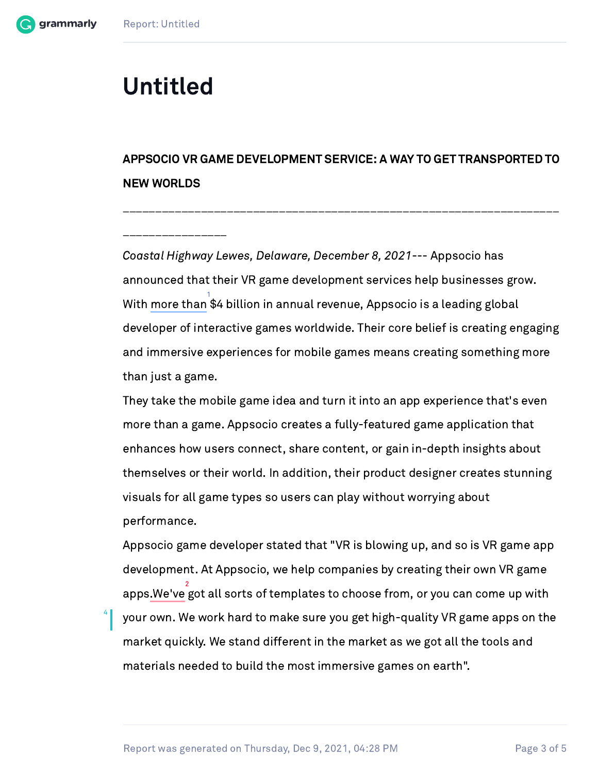4

## Untitled

 $\mathcal{L}_\text{max}$ 

## APPSOCIO VR GAME DEVELOPMENT SERVICE: A WAY TO GET TRANSPORTED TO NEW WORLDS

 $\mathcal{L}_\text{max} = \frac{1}{2} \sum_{i=1}^n \mathcal{L}_\text{max}(\mathbf{z}_i - \mathbf{z}_i)$ 

Coastal Highway Lewes, Delaware, December 8, 2021--- Appsocio has announced that their VR game development services help businesses grow. With more than  $34$  billion in annual revenue. Appsocio is a leading global developer of interactive games worldwide. Their core belief is creating engaging and immersive experiences for mobile games means creating something more than just a game.

They take the mobile game idea and turn it into an app experience that's even more than a game. Appsocio creates a fully-featured game application that enhances how users connect, share content, or gain in-depth insights about themselves or their world. In addition, their product designer creates stunning visuals for all game types so users can play without worrying about performance.

Appsocio game developer stated that "VR is blowing up, and so is VR game app development. At Appsocio, we help companies by creating their own VR game apps.We've got all sorts of templates to choose from, or you can come up with your own. We work hard to make sure you get high-quality VR game apps on the market quickly. We stand different in the market as we got all the tools and materials needed to build the most immersive games on earth". 2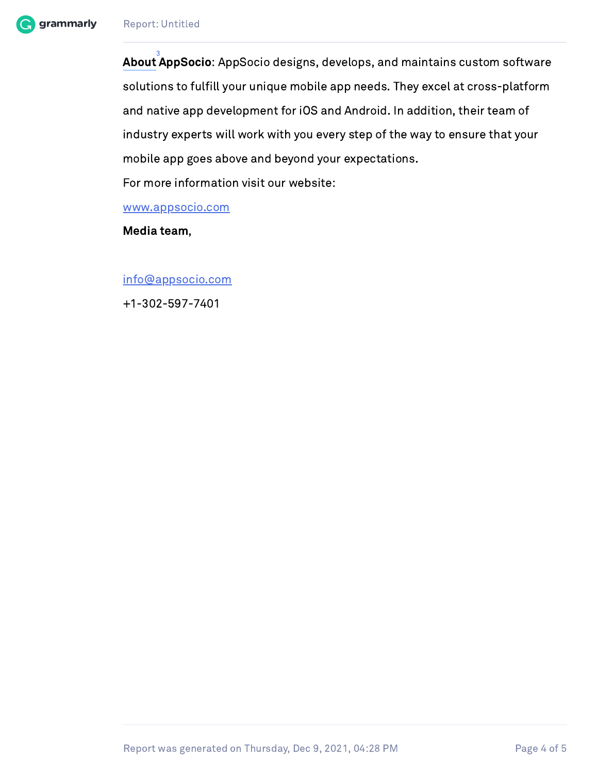

For more information visit our website:

[www.appsocio.com](http://www.appsocio.com/)

Media team,

[info@appsocio.com](mailto:info@appsocio.com)

+1-302-597-7401